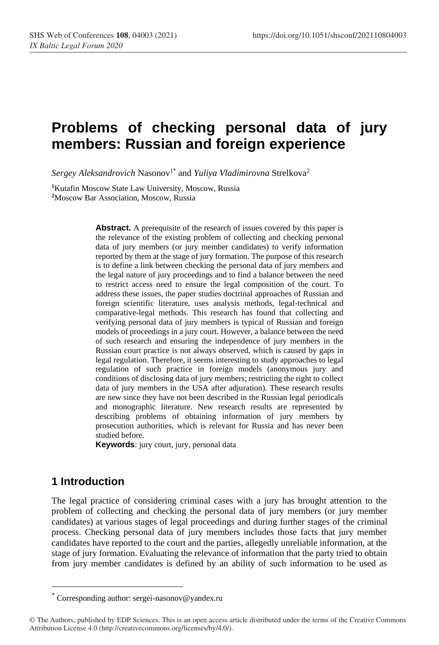# **Problems of checking personal data of jury members: Russian and foreign experience**

 $Sergey\ Aleksandrovich$  Nasonov $^{1^*}$  and *Yuliya Vladimirovna* Strelkova<sup>2</sup>

**<sup>1</sup>**Kutafin Moscow State Law University, Moscow, Russia **<sup>2</sup>**Moscow Bar Association, Moscow, Russia

> **Abstract.** A prerequisite of the research of issues covered by this paper is the relevance of the existing problem of collecting and checking personal data of jury members (or jury member candidates) to verify information reported by them at the stage of jury formation. The purpose of this research is to define a link between checking the personal data of jury members and the legal nature of jury proceedings and to find a balance between the need to restrict access need to ensure the legal composition of the court. To address these issues, the paper studies doctrinal approaches of Russian and foreign scientific literature, uses analysis methods, legal-technical and comparative-legal methods. This research has found that collecting and verifying personal data of jury members is typical of Russian and foreign models of proceedings in a jury court. However, a balance between the need of such research and ensuring the independence of jury members in the Russian court practice is not always observed, which is caused by gaps in legal regulation. Therefore, it seems interesting to study approaches to legal regulation of such practice in foreign models (anonymous jury and conditions of disclosing data of jury members; restricting the right to collect data of jury members in the USA after adjuration). These research results are new since they have not been described in the Russian legal periodicals and monographic literature. New research results are represented by describing problems of obtaining information of jury members by prosecution authorities, which is relevant for Russia and has never been studied before.

**Keywords**: jury court, jury, personal data

#### **1 Introduction**

The legal practice of considering criminal cases with a jury has brought attention to the problem of collecting and checking the personal data of jury members (or jury member candidates) at various stages of legal proceedings and during further stages of the criminal process. Checking personal data of jury members includes those facts that jury member candidates have reported to the court and the parties, allegedly unreliable information, at the stage of jury formation. Evaluating the relevance of information that the party tried to obtain from jury member candidates is defined by an ability of such information to be used as

Corresponding author: sergei-nasonov@yandex.ru \*

<sup>©</sup> The Authors, published by EDP Sciences. This is an open access article distributed under the terms of the Creative Commons Attribution License 4.0 (http://creativecommons.org/licenses/by/4.0/).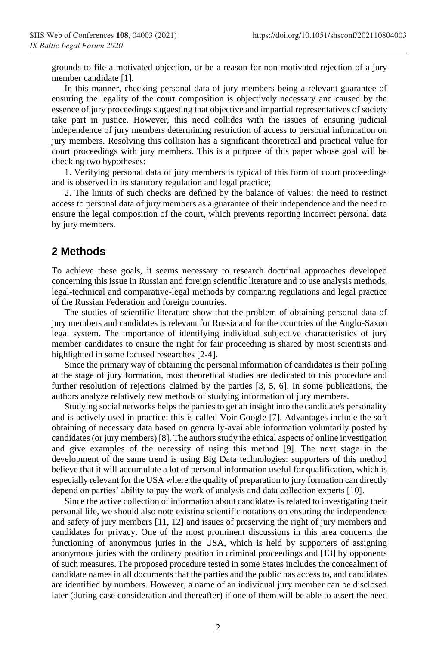grounds to file a motivated objection, or be a reason for non-motivated rejection of a jury member candidate [1].

In this manner, checking personal data of jury members being a relevant guarantee of ensuring the legality of the court composition is objectively necessary and caused by the essence of jury proceedings suggesting that objective and impartial representatives of society take part in justice. However, this need collides with the issues of ensuring judicial independence of jury members determining restriction of access to personal information on jury members. Resolving this collision has a significant theoretical and practical value for court proceedings with jury members. This is a purpose of this paper whose goal will be checking two hypotheses:

1. Verifying personal data of jury members is typical of this form of court proceedings and is observed in its statutory regulation and legal practice;

2. The limits of such checks are defined by the balance of values: the need to restrict access to personal data of jury members as a guarantee of their independence and the need to ensure the legal composition of the court, which prevents reporting incorrect personal data by jury members.

#### **2 Methods**

To achieve these goals, it seems necessary to research doctrinal approaches developed concerning this issue in Russian and foreign scientific literature and to use analysis methods, legal-technical and comparative-legal methods by comparing regulations and legal practice of the Russian Federation and foreign countries.

The studies of scientific literature show that the problem of obtaining personal data of jury members and candidates is relevant for Russia and for the countries of the Anglo-Saxon legal system. The importance of identifying individual subjective characteristics of jury member candidates to ensure the right for fair proceeding is shared by most scientists and highlighted in some focused researches [2-4].

Since the primary way of obtaining the personal information of candidates is their polling at the stage of jury formation, most theoretical studies are dedicated to this procedure and further resolution of rejections claimed by the parties [3, 5, 6]. In some publications, the authors analyze relatively new methods of studying information of jury members.

Studying social networks helps the parties to get an insight into the candidate's personality and is actively used in practice: this is called Voir Google [7]. Advantages include the soft obtaining of necessary data based on generally-available information voluntarily posted by candidates (or jury members) [8]. The authors study the ethical aspects of online investigation and give examples of the necessity of using this method [9]. The next stage in the development of the same trend is using Big Data technologies: supporters of this method believe that it will accumulate a lot of personal information useful for qualification, which is especially relevant for the USA where the quality of preparation to jury formation can directly depend on parties' ability to pay the work of analysis and data collection experts [10].

Since the active collection of information about candidates is related to investigating their personal life, we should also note existing scientific notations on ensuring the independence and safety of jury members [11, 12] and issues of preserving the right of jury members and candidates for privacy. One of the most prominent discussions in this area concerns the functioning of anonymous juries in the USA, which is held by supporters of assigning anonymous juries with the ordinary position in criminal proceedings and [13] by opponents of such measures. The proposed procedure tested in some States includes the concealment of candidate names in all documents that the parties and the public has access to, and candidates are identified by numbers. However, a name of an individual jury member can be disclosed later (during case consideration and thereafter) if one of them will be able to assert the need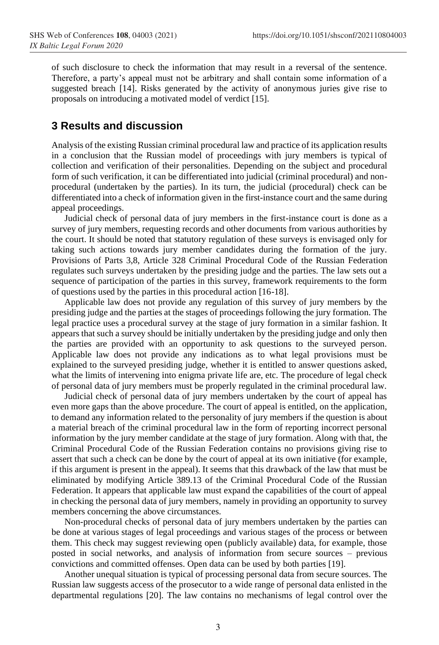of such disclosure to check the information that may result in a reversal of the sentence. Therefore, a party's appeal must not be arbitrary and shall contain some information of a suggested breach [14]. Risks generated by the activity of anonymous juries give rise to proposals on introducing a motivated model of verdict [15].

### **3 Results and discussion**

Analysis of the existing Russian criminal procedural law and practice of its application results in a conclusion that the Russian model of proceedings with jury members is typical of collection and verification of their personalities. Depending on the subject and procedural form of such verification, it can be differentiated into judicial (criminal procedural) and nonprocedural (undertaken by the parties). In its turn, the judicial (procedural) check can be differentiated into a check of information given in the first-instance court and the same during appeal proceedings.

Judicial check of personal data of jury members in the first-instance court is done as a survey of jury members, requesting records and other documents from various authorities by the court. It should be noted that statutory regulation of these surveys is envisaged only for taking such actions towards jury member candidates during the formation of the jury. Provisions of Parts 3,8, Article 328 Criminal Procedural Code of the Russian Federation regulates such surveys undertaken by the presiding judge and the parties. The law sets out a sequence of participation of the parties in this survey, framework requirements to the form of questions used by the parties in this procedural action [16-18].

Applicable law does not provide any regulation of this survey of jury members by the presiding judge and the parties at the stages of proceedings following the jury formation. The legal practice uses a procedural survey at the stage of jury formation in a similar fashion. It appears that such a survey should be initially undertaken by the presiding judge and only then the parties are provided with an opportunity to ask questions to the surveyed person. Applicable law does not provide any indications as to what legal provisions must be explained to the surveyed presiding judge, whether it is entitled to answer questions asked, what the limits of intervening into enigma private life are, etc. The procedure of legal check of personal data of jury members must be properly regulated in the criminal procedural law.

Judicial check of personal data of jury members undertaken by the court of appeal has even more gaps than the above procedure. The court of appeal is entitled, on the application, to demand any information related to the personality of jury members if the question is about a material breach of the criminal procedural law in the form of reporting incorrect personal information by the jury member candidate at the stage of jury formation. Along with that, the Criminal Procedural Code of the Russian Federation contains no provisions giving rise to assert that such a check can be done by the court of appeal at its own initiative (for example, if this argument is present in the appeal). It seems that this drawback of the law that must be eliminated by modifying Article 389.13 of the Criminal Procedural Code of the Russian Federation. It appears that applicable law must expand the capabilities of the court of appeal in checking the personal data of jury members, namely in providing an opportunity to survey members concerning the above circumstances.

Non-procedural checks of personal data of jury members undertaken by the parties can be done at various stages of legal proceedings and various stages of the process or between them. This check may suggest reviewing open (publicly available) data, for example, those posted in social networks, and analysis of information from secure sources – previous convictions and committed offenses. Open data can be used by both parties [19].

Another unequal situation is typical of processing personal data from secure sources. The Russian law suggests access of the prosecutor to a wide range of personal data enlisted in the departmental regulations [20]. The law contains no mechanisms of legal control over the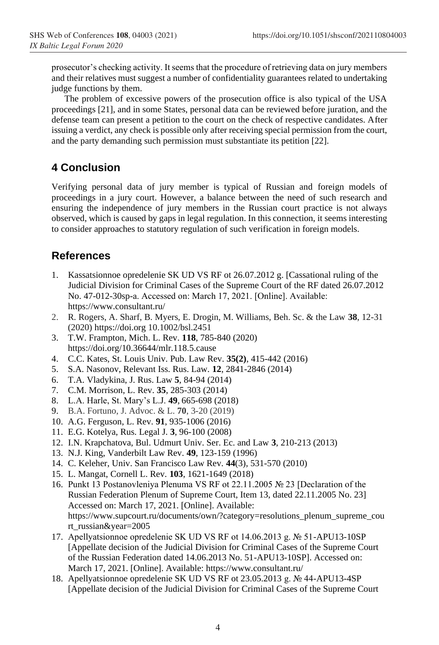prosecutor's checking activity. It seems that the procedure of retrieving data on jury members and their relatives must suggest a number of confidentiality guarantees related to undertaking judge functions by them.

The problem of excessive powers of the prosecution office is also typical of the USA proceedings [21], and in some States, personal data can be reviewed before juration, and the defense team can present a petition to the court on the check of respective candidates. After issuing a verdict, any check is possible only after receiving special permission from the court, and the party demanding such permission must substantiate its petition [22].

# **4 Conclusion**

Verifying personal data of jury member is typical of Russian and foreign models of proceedings in a jury court. However, a balance between the need of such research and ensuring the independence of jury members in the Russian court practice is not always observed, which is caused by gaps in legal regulation. In this connection, it seems interesting to consider approaches to statutory regulation of such verification in foreign models.

## **References**

- 1. Kassatsionnoe opredelenie SK UD VS RF ot 26.07.2012 g. [Cassational ruling of the Judicial Division for Criminal Cases of the Supreme Court of the RF dated 26.07.2012 No. 47-012-30sp-а. Accessed on: March 17, 2021. [Online]. Available: https://www.consultant.ru/
- 2. R. Rogers, A. Sharf, B. Myers, E. Drogin, M. Williams, Beh. Sc. & the Law **38**, 12-31 (2020) https://doi.org 10.1002/bsl.2451
- 3. T.W. Frampton, Mich. L. Rev. **118**, 785-840 (2020) https://doi.org/10.36644/mlr.118.5.cause
- 4. C.C. Kates, St. Louis Univ. Pub. Law Rev. **35(2)**, 415-442 (2016)
- 5. S.A. Nasonov, Relevant Iss. Rus. Law. **12**, 2841-2846 (2014)
- 6. T.A. Vladykina, J. Rus. Law **5**, 84-94 (2014)
- 7. C.M. Morrison, L. Rev. **35**, 285-303 (2014)
- 8. L.A. Harle, St. Mary's L.J. **49**, 665-698 (2018)
- 9. B.A. Fortuno, J. Advoc. & L. **70**, 3-20 (2019)
- 10. A.G. Ferguson, L. Rev. **91**, 935-1006 (2016)
- 11. E.G. Kotelya, Rus. Legal J. **3**, 96-100 (2008)
- 12. I.N. Krapchatova, Bul. Udmurt Univ. Ser. Ec. and Law **3**, 210-213 (2013)
- 13. N.J. King, Vanderbilt Law Rev. **49**, 123-159 (1996)
- 14. C. Keleher, Univ. San Francisco Law Rev. **44**(3), 531-570 (2010)
- 15. L. Mangat, Cornell L. Rev. **103**, 1621-1649 (2018)
- 16. Punkt 13 Postanovleniya Plenuma VS RF ot 22.11.2005 № 23 [Declaration of the Russian Federation Plenum of Supreme Court, Item 13, dated 22.11.2005 No. 23] Accessed on: March 17, 2021. [Online]. Available: https://www.supcourt.ru/documents/own/?category=resolutions\_plenum\_supreme\_cou rt\_russian&year=2005
- 17. Apellyatsionnoe opredelenie SK UD VS RF ot 14.06.2013 g. № 51-APU13-10SP [Appellate decision of the Judicial Division for Criminal Cases of the Supreme Court of the Russian Federation dated 14.06.2013 No. 51-APU13-10SP]. Accessed on: March 17, 2021. [Online]. Available: https://www.consultant.ru/
- 18. Apellyatsionnoe opredelenie SK UD VS RF ot 23.05.2013 g. № 44-APU13-4SP [Appellate decision of the Judicial Division for Criminal Cases of the Supreme Court